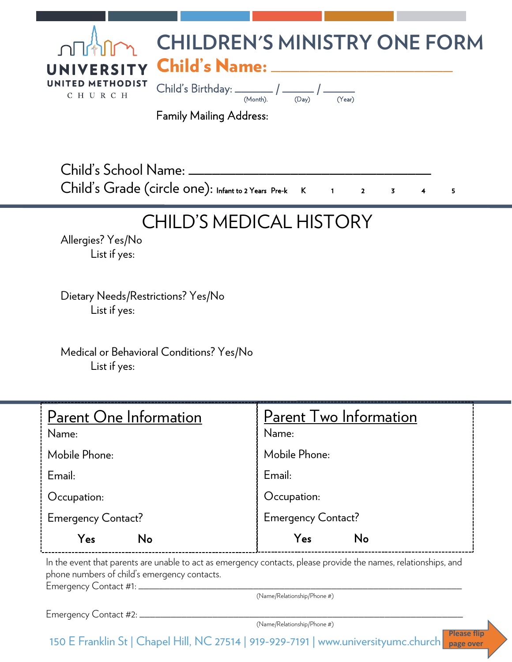| ∩∏ <sup>∦</sup> ∭<br>UNITED METHODIST<br>C H U R C H | <b>CHILDREN'S MINISTRY ONE FORM</b><br>UNIVERSITY Child's Name: ____________<br>(Year)<br>(Dav)<br>(Month).<br><b>Family Mailing Address:</b> |
|------------------------------------------------------|-----------------------------------------------------------------------------------------------------------------------------------------------|
| Child's School Name:                                 | $Child's Grade (circle one): Infant to 2 Years Pre-k  1 2 2$<br>$\overline{\mathbf{3}}$<br>5                                                  |

## CHILD'S MEDICAL HISTORY

Allergies? Yes/No List if yes:

Dietary Needs/Restrictions? Yes/No List if yes:

Medical or Behavioral Conditions? Yes/No List if yes:

| Parent One Information    | <b>Parent Two Information</b> |
|---------------------------|-------------------------------|
| Name:                     | Name:                         |
| Mobile Phone:             | Mobile Phone:                 |
| Email:                    | Email:                        |
| Occupation:               | Occupation:                   |
| <b>Emergency Contact?</b> | <b>Emergency Contact?</b>     |
| Yes<br>No                 | No<br>Yes                     |

In the event that parents are unable to act as emergency contacts, please provide the names, relationships, and phone numbers of child's emergency contacts.

Emergency Contact #1: \_\_\_\_\_\_\_\_\_\_\_\_\_\_\_\_\_\_\_\_\_\_\_\_\_\_\_\_\_\_\_\_\_\_\_\_\_\_\_\_\_\_\_\_\_\_\_\_\_\_\_\_\_\_\_\_\_\_\_\_\_\_

(Name/Relationship/Phone #)

Emergency Contact #2: \_

(Name/Relationship/Phone #)

150 E Franklin St | Chapel Hill, NC 27514 | 919-929-7191 | www.universityumc.church **Please flip page over**